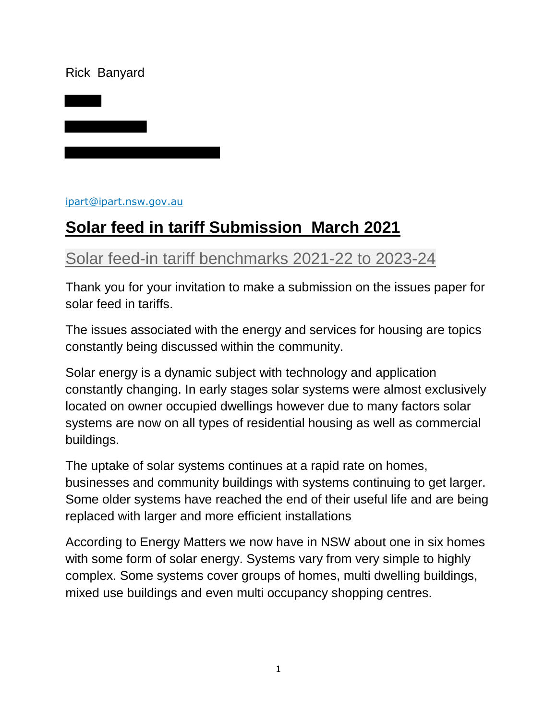#### Rick Banyard

[ipart@ipart.nsw.gov.au](mailto:ipart@ipart.nsw.gov.au)

# **Solar feed in tariff Submission March 2021**

# [Solar feed-in tariff benchmarks 2021-22 to 2023-24](https://www.ipart.nsw.gov.au/Home/Industries/Energy/Reviews/Electricity/Solar-feed-in-tariff-benchmarks-2021-22-to-2023-24)

Thank you for your invitation to make a submission on the issues paper for solar feed in tariffs.

The issues associated with the energy and services for housing are topics constantly being discussed within the community.

Solar energy is a dynamic subject with technology and application constantly changing. In early stages solar systems were almost exclusively located on owner occupied dwellings however due to many factors solar systems are now on all types of residential housing as well as commercial buildings.

The uptake of solar systems continues at a rapid rate on homes, businesses and community buildings with systems continuing to get larger. Some older systems have reached the end of their useful life and are being replaced with larger and more efficient installations

According to Energy Matters we now have in NSW about one in six homes with some form of solar energy. Systems vary from very simple to highly complex. Some systems cover groups of homes, multi dwelling buildings, mixed use buildings and even multi occupancy shopping centres.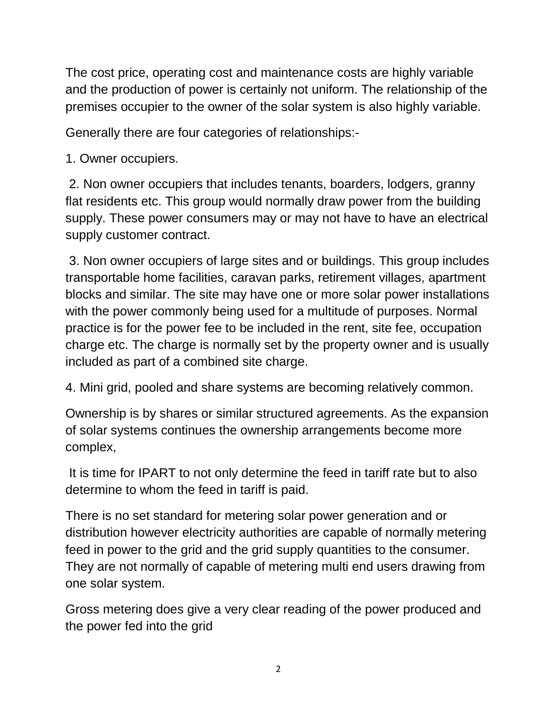The cost price, operating cost and maintenance costs are highly variable and the production of power is certainly not uniform. The relationship of the premises occupier to the owner of the solar system is also highly variable.

Generally there are four categories of relationships:-

1. Owner occupiers.

2. Non owner occupiers that includes tenants, boarders, lodgers, granny flat residents etc. This group would normally draw power from the building supply. These power consumers may or may not have to have an electrical supply customer contract.

3. Non owner occupiers of large sites and or buildings. This group includes transportable home facilities, caravan parks, retirement villages, apartment blocks and similar. The site may have one or more solar power installations with the power commonly being used for a multitude of purposes. Normal practice is for the power fee to be included in the rent, site fee, occupation charge etc. The charge is normally set by the property owner and is usually included as part of a combined site charge.

4. Mini grid, pooled and share systems are becoming relatively common.

Ownership is by shares or similar structured agreements. As the expansion of solar systems continues the ownership arrangements become more complex,

It is time for IPART to not only determine the feed in tariff rate but to also determine to whom the feed in tariff is paid.

There is no set standard for metering solar power generation and or distribution however electricity authorities are capable of normally metering feed in power to the grid and the grid supply quantities to the consumer. They are not normally of capable of metering multi end users drawing from one solar system.

Gross metering does give a very clear reading of the power produced and the power fed into the grid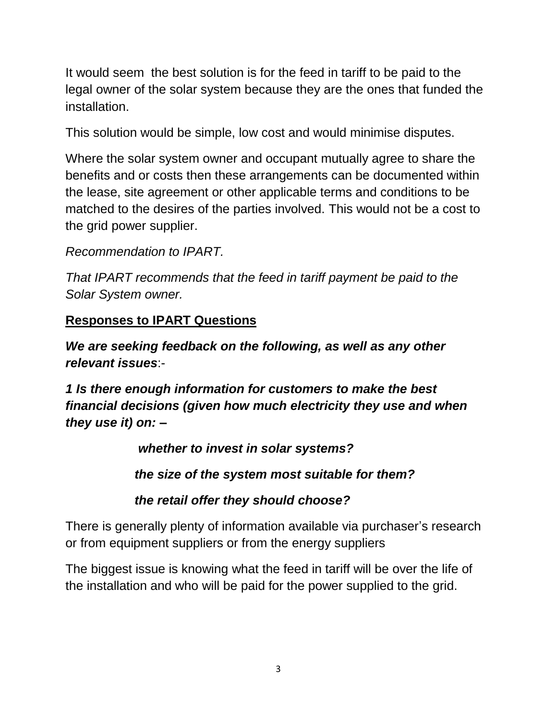It would seem the best solution is for the feed in tariff to be paid to the legal owner of the solar system because they are the ones that funded the installation.

This solution would be simple, low cost and would minimise disputes.

Where the solar system owner and occupant mutually agree to share the benefits and or costs then these arrangements can be documented within the lease, site agreement or other applicable terms and conditions to be matched to the desires of the parties involved. This would not be a cost to the grid power supplier.

*Recommendation to IPART.*

*That IPART recommends that the feed in tariff payment be paid to the Solar System owner.* 

#### **Responses to IPART Questions**

*We are seeking feedback on the following, as well as any other relevant issues*:-

*1 Is there enough information for customers to make the best financial decisions (given how much electricity they use and when they use it) on: –*

 *whether to invest in solar systems?* 

*the size of the system most suitable for them?* 

*the retail offer they should choose?*

There is generally plenty of information available via purchaser's research or from equipment suppliers or from the energy suppliers

The biggest issue is knowing what the feed in tariff will be over the life of the installation and who will be paid for the power supplied to the grid.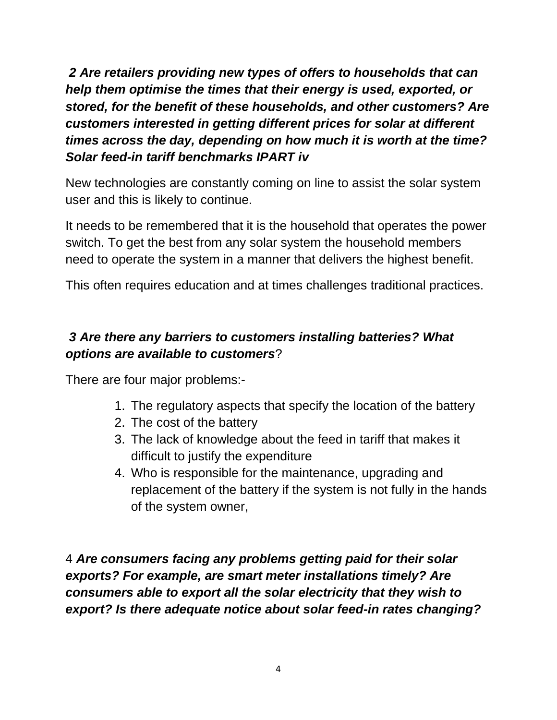*2 Are retailers providing new types of offers to households that can help them optimise the times that their energy is used, exported, or stored, for the benefit of these households, and other customers? Are customers interested in getting different prices for solar at different times across the day, depending on how much it is worth at the time? Solar feed-in tariff benchmarks IPART iv*

New technologies are constantly coming on line to assist the solar system user and this is likely to continue.

It needs to be remembered that it is the household that operates the power switch. To get the best from any solar system the household members need to operate the system in a manner that delivers the highest benefit.

This often requires education and at times challenges traditional practices.

## *3 Are there any barriers to customers installing batteries? What options are available to customers*?

There are four major problems:-

- 1. The regulatory aspects that specify the location of the battery
- 2. The cost of the battery
- 3. The lack of knowledge about the feed in tariff that makes it difficult to justify the expenditure
- 4. Who is responsible for the maintenance, upgrading and replacement of the battery if the system is not fully in the hands of the system owner,

4 *Are consumers facing any problems getting paid for their solar exports? For example, are smart meter installations timely? Are consumers able to export all the solar electricity that they wish to export? Is there adequate notice about solar feed-in rates changing?*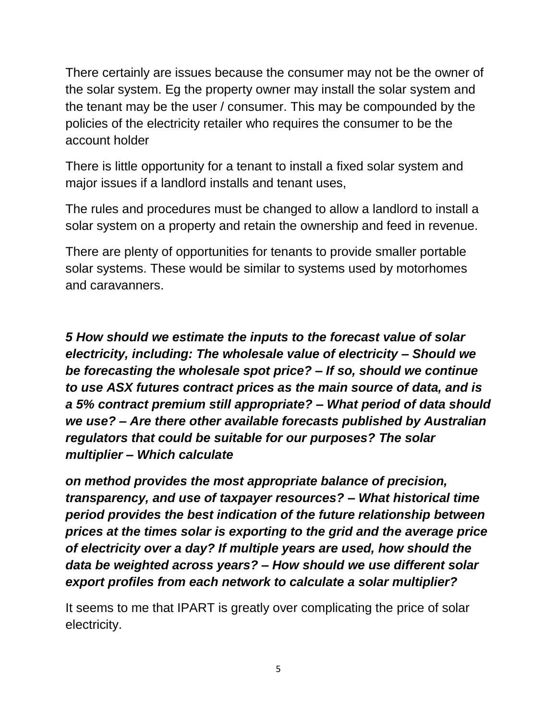There certainly are issues because the consumer may not be the owner of the solar system. Eg the property owner may install the solar system and the tenant may be the user / consumer. This may be compounded by the policies of the electricity retailer who requires the consumer to be the account holder

There is little opportunity for a tenant to install a fixed solar system and major issues if a landlord installs and tenant uses,

The rules and procedures must be changed to allow a landlord to install a solar system on a property and retain the ownership and feed in revenue.

There are plenty of opportunities for tenants to provide smaller portable solar systems. These would be similar to systems used by motorhomes and caravanners.

*5 How should we estimate the inputs to the forecast value of solar electricity, including: The wholesale value of electricity – Should we be forecasting the wholesale spot price? – If so, should we continue to use ASX futures contract prices as the main source of data, and is a 5% contract premium still appropriate? – What period of data should we use? – Are there other available forecasts published by Australian regulators that could be suitable for our purposes? The solar multiplier – Which calculate*

*on method provides the most appropriate balance of precision, transparency, and use of taxpayer resources? – What historical time period provides the best indication of the future relationship between prices at the times solar is exporting to the grid and the average price of electricity over a day? If multiple years are used, how should the data be weighted across years? – How should we use different solar export profiles from each network to calculate a solar multiplier?* 

It seems to me that IPART is greatly over complicating the price of solar electricity.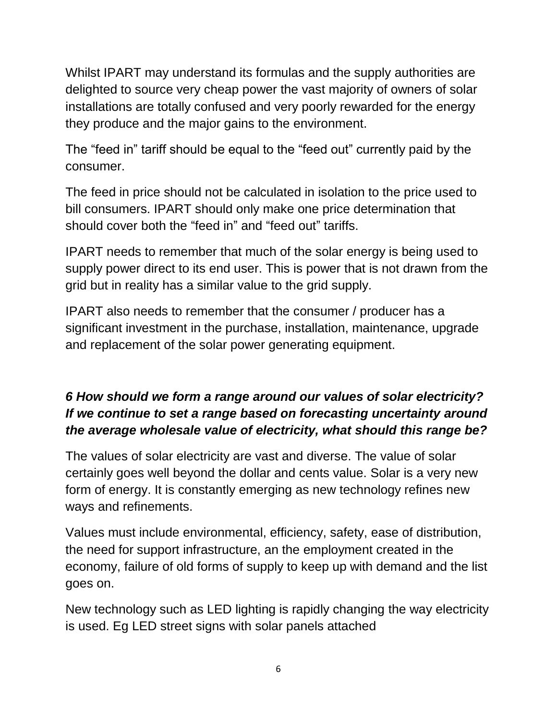Whilst IPART may understand its formulas and the supply authorities are delighted to source very cheap power the vast majority of owners of solar installations are totally confused and very poorly rewarded for the energy they produce and the major gains to the environment.

The "feed in" tariff should be equal to the "feed out" currently paid by the consumer.

The feed in price should not be calculated in isolation to the price used to bill consumers. IPART should only make one price determination that should cover both the "feed in" and "feed out" tariffs.

IPART needs to remember that much of the solar energy is being used to supply power direct to its end user. This is power that is not drawn from the grid but in reality has a similar value to the grid supply.

IPART also needs to remember that the consumer / producer has a significant investment in the purchase, installation, maintenance, upgrade and replacement of the solar power generating equipment.

## *6 How should we form a range around our values of solar electricity? If we continue to set a range based on forecasting uncertainty around the average wholesale value of electricity, what should this range be?*

The values of solar electricity are vast and diverse. The value of solar certainly goes well beyond the dollar and cents value. Solar is a very new form of energy. It is constantly emerging as new technology refines new ways and refinements.

Values must include environmental, efficiency, safety, ease of distribution, the need for support infrastructure, an the employment created in the economy, failure of old forms of supply to keep up with demand and the list goes on.

New technology such as LED lighting is rapidly changing the way electricity is used. Eg LED street signs with solar panels attached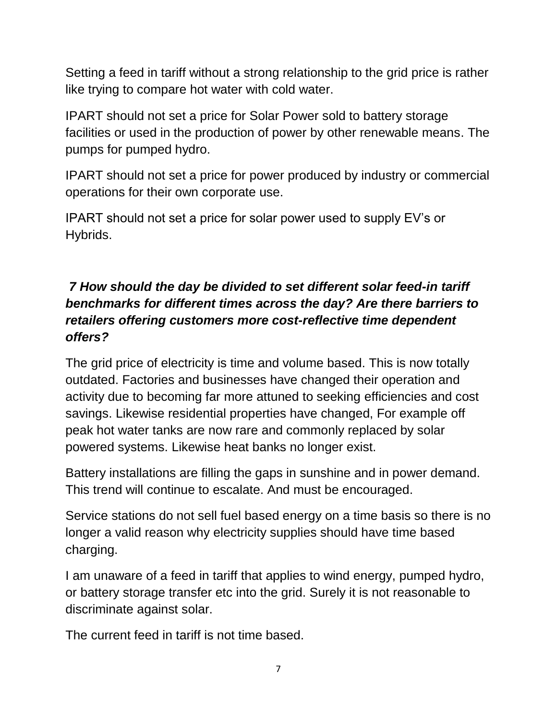Setting a feed in tariff without a strong relationship to the grid price is rather like trying to compare hot water with cold water.

IPART should not set a price for Solar Power sold to battery storage facilities or used in the production of power by other renewable means. The pumps for pumped hydro.

IPART should not set a price for power produced by industry or commercial operations for their own corporate use.

IPART should not set a price for solar power used to supply EV's or Hybrids.

#### *7 How should the day be divided to set different solar feed-in tariff benchmarks for different times across the day? Are there barriers to retailers offering customers more cost-reflective time dependent offers?*

The grid price of electricity is time and volume based. This is now totally outdated. Factories and businesses have changed their operation and activity due to becoming far more attuned to seeking efficiencies and cost savings. Likewise residential properties have changed, For example off peak hot water tanks are now rare and commonly replaced by solar powered systems. Likewise heat banks no longer exist.

Battery installations are filling the gaps in sunshine and in power demand. This trend will continue to escalate. And must be encouraged.

Service stations do not sell fuel based energy on a time basis so there is no longer a valid reason why electricity supplies should have time based charging.

I am unaware of a feed in tariff that applies to wind energy, pumped hydro, or battery storage transfer etc into the grid. Surely it is not reasonable to discriminate against solar.

The current feed in tariff is not time based.